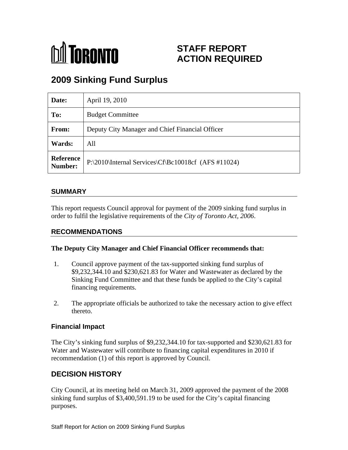

# **STAFF REPORT ACTION REQUIRED**

# **2009 Sinking Fund Surplus**

| Date:  | April 19, 2010                                                |
|--------|---------------------------------------------------------------|
| To:    | <b>Budget Committee</b>                                       |
| From:  | Deputy City Manager and Chief Financial Officer               |
| Wards: | All                                                           |
|        | Reference P:\2010\Internal Services\Cf\Bc10018cf (AFS #11024) |

#### **SUMMARY**

This report requests Council approval for payment of the 2009 sinking fund surplus in order to fulfil the legislative requirements of the *City of Toronto Act, 2006*.

#### **RECOMMENDATIONS**

#### **The Deputy City Manager and Chief Financial Officer recommends that:**

- 1. Council approve payment of the tax-supported sinking fund surplus of \$9,232,344.10 and \$230,621.83 for Water and Wastewater as declared by the Sinking Fund Committee and that these funds be applied to the City's capital financing requirements.
- 2. The appropriate officials be authorized to take the necessary action to give effect thereto.

#### **Financial Impact**

The City's sinking fund surplus of \$9,232,344.10 for tax-supported and \$230,621.83 for Water and Wastewater will contribute to financing capital expenditures in 2010 if recommendation (1) of this report is approved by Council.

### **DECISION HISTORY**

City Council, at its meeting held on March 31, 2009 approved the payment of the 2008 sinking fund surplus of \$3,400,591.19 to be used for the City's capital financing purposes.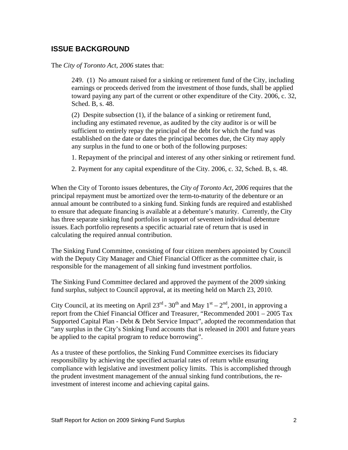### **ISSUE BACKGROUND**

The *City of Toronto Act, 2006* states that:

249. (1) No amount raised for a sinking or retirement fund of the City, including earnings or proceeds derived from the investment of those funds, shall be applied toward paying any part of the current or other expenditure of the City. 2006, c. 32, Sched. B, s. 48.

(2) Despite subsection (1), if the balance of a sinking or retirement fund, including any estimated revenue, as audited by the city auditor is or will be sufficient to entirely repay the principal of the debt for which the fund was established on the date or dates the principal becomes due, the City may apply any surplus in the fund to one or both of the following purposes:

- 1. Repayment of the principal and interest of any other sinking or retirement fund.
- 2. Payment for any capital expenditure of the City. 2006, c. 32, Sched. B, s. 48.

When the City of Toronto issues debentures, the *City of Toronto Act, 2006* requires that the principal repayment must be amortized over the term-to-maturity of the debenture or an annual amount be contributed to a sinking fund. Sinking funds are required and established to ensure that adequate financing is available at a debenture's maturity. Currently, the City has three separate sinking fund portfolios in support of seventeen individual debenture issues. Each portfolio represents a specific actuarial rate of return that is used in calculating the required annual contribution.

The Sinking Fund Committee, consisting of four citizen members appointed by Council with the Deputy City Manager and Chief Financial Officer as the committee chair, is responsible for the management of all sinking fund investment portfolios.

The Sinking Fund Committee declared and approved the payment of the 2009 sinking fund surplus, subject to Council approval, at its meeting held on March 23, 2010.

City Council, at its meeting on April 23<sup>rd</sup> - 30<sup>th</sup> and May  $1<sup>st</sup> - 2<sup>nd</sup>$ , 2001, in approving a report from the Chief Financial Officer and Treasurer, "Recommended 2001 – 2005 Tax Supported Capital Plan - Debt & Debt Service Impact", adopted the recommendation that "any surplus in the City's Sinking Fund accounts that is released in 2001 and future years be applied to the capital program to reduce borrowing".

As a trustee of these portfolios, the Sinking Fund Committee exercises its fiduciary responsibility by achieving the specified actuarial rates of return while ensuring compliance with legislative and investment policy limits. This is accomplished through the prudent investment management of the annual sinking fund contributions, the reinvestment of interest income and achieving capital gains.